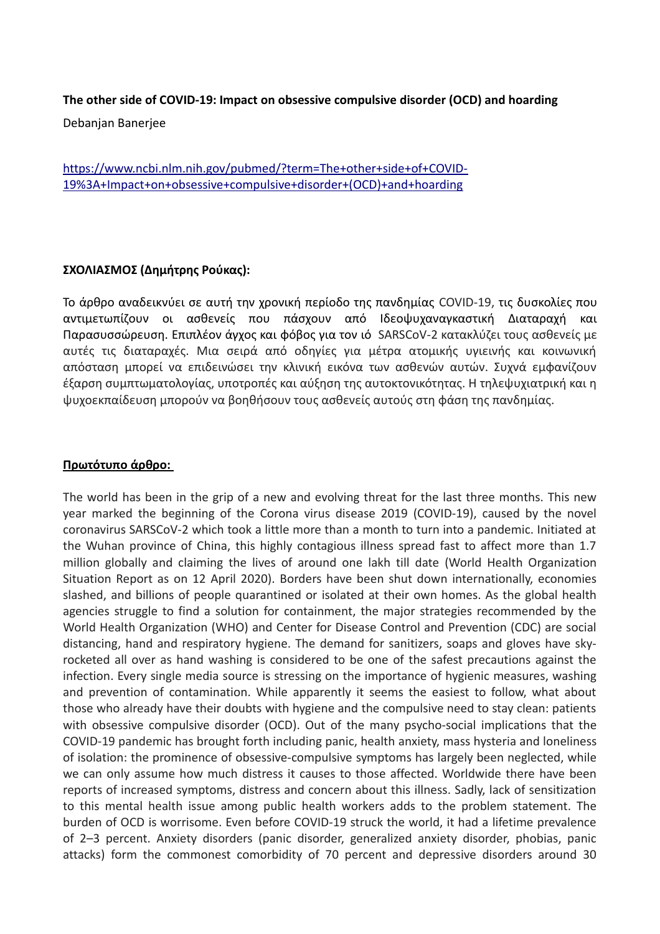## **The other side of COVID-19: Impact on obsessive compulsive disorder (OCD) and hoarding**

Debanjan Banerjee

[https://www.ncbi.nlm.nih.gov/pubmed/?term=The+other+side+of+COVID-](https://www.ncbi.nlm.nih.gov/pubmed/?term=The+other+side+of+COVID-19%3A+Impact+on+obsessive+compulsive+disorder+(OCD)+and+hoarding)[19%3A+Impact+on+obsessive+compulsive+disorder+\(OCD\)+and+hoarding](https://www.ncbi.nlm.nih.gov/pubmed/?term=The+other+side+of+COVID-19%3A+Impact+on+obsessive+compulsive+disorder+(OCD)+and+hoarding)

## **ΣΧΟΛΙΑΣΜΟΣ (Δημήτρης Ρούκας):**

Το άρθρο αναδεικνύει σε αυτή την χρονική περίοδο της πανδημίας COVID-19, τις δυσκολίες που αντιμετωπίζουν οι ασθενείς που πάσχουν από Ιδεοψυχαναγκαστική Διαταραχή και Παρασυσσώρευση. Επιπλέον άγχος και φόβος για τον ιό SARSCoV-2 κατακλύζει τους ασθενείς με αυτές τις διαταραχές. Μια σειρά από οδηγίες για μέτρα ατομικής υγιεινής και κοινωνική απόσταση μπορεί να επιδεινώσει την κλινική εικόνα των ασθενών αυτών. Συχνά εμφανίζουν έξαρση συμπτωματολογίας, υποτροπές και αύξηση της αυτοκτονικότητας. Η τηλεψυχιατρική και η ψυχοεκπαίδευση μπορούν να βοηθήσουν τους ασθενείς αυτούς στη φάση της πανδημίας.

## **Πρωτότυπο άρθρο:**

The world has been in the grip of a new and evolving threat for the last three months. This new year marked the beginning of the Corona virus disease 2019 (COVID-19), caused by the novel coronavirus SARSCoV-2 which took a little more than a month to turn into a pandemic. Initiated at the Wuhan province of China, this highly contagious illness spread fast to affect more than 1.7 million globally and claiming the lives of around one lakh till date (World Health Organization Situation Report as on 12 April 2020). Borders have been shut down internationally, economies slashed, and billions of people quarantined or isolated at their own homes. As the global health agencies struggle to find a solution for containment, the major strategies recommended by the World Health Organization (WHO) and Center for Disease Control and Prevention (CDC) are social distancing, hand and respiratory hygiene. The demand for sanitizers, soaps and gloves have skyrocketed all over as hand washing is considered to be one of the safest precautions against the infection. Every single media source is stressing on the importance of hygienic measures, washing and prevention of contamination. While apparently it seems the easiest to follow, what about those who already have their doubts with hygiene and the compulsive need to stay clean: patients with obsessive compulsive disorder (OCD). Out of the many psycho-social implications that the COVID-19 pandemic has brought forth including panic, health anxiety, mass hysteria and loneliness of isolation: the prominence of obsessive-compulsive symptoms has largely been neglected, while we can only assume how much distress it causes to those affected. Worldwide there have been reports of increased symptoms, distress and concern about this illness. Sadly, lack of sensitization to this mental health issue among public health workers adds to the problem statement. The burden of OCD is worrisome. Even before COVID-19 struck the world, it had a lifetime prevalence of 2–3 percent. Anxiety disorders (panic disorder, generalized anxiety disorder, phobias, panic attacks) form the commonest comorbidity of 70 percent and depressive disorders around 30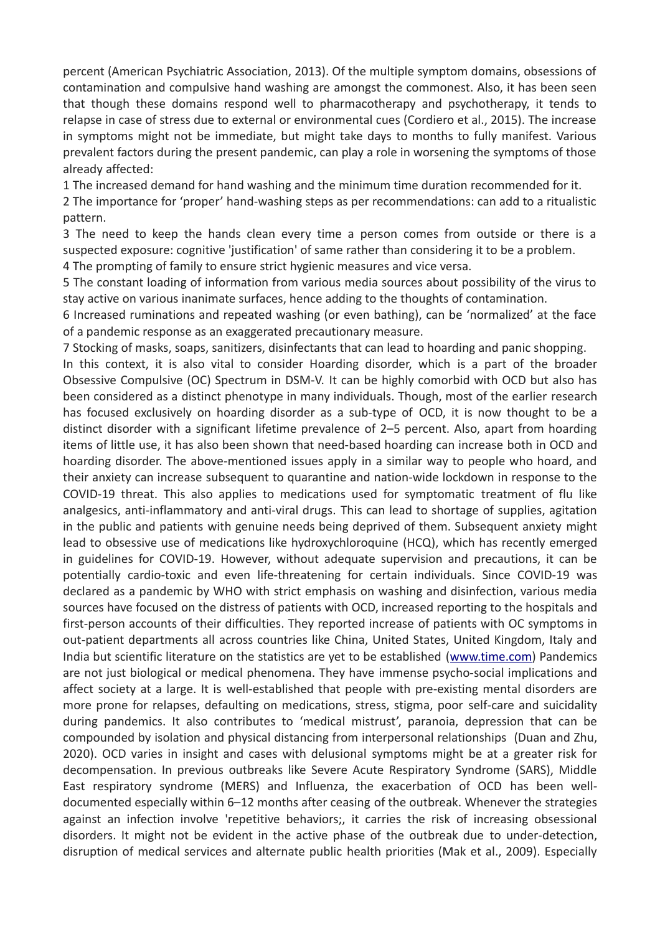percent (American Psychiatric Association, 2013). Of the multiple symptom domains, obsessions of contamination and compulsive hand washing are amongst the commonest. Also, it has been seen that though these domains respond well to pharmacotherapy and psychotherapy, it tends to relapse in case of stress due to external or environmental cues (Cordiero et al., 2015). The increase in symptoms might not be immediate, but might take days to months to fully manifest. Various prevalent factors during the present pandemic, can play a role in worsening the symptoms of those already affected:

1 The increased demand for hand washing and the minimum time duration recommended for it.

2 The importance for 'proper' hand-washing steps as per recommendations: can add to a ritualistic pattern.

3 The need to keep the hands clean every time a person comes from outside or there is a suspected exposure: cognitive 'justification' of same rather than considering it to be a problem. 4 The prompting of family to ensure strict hygienic measures and vice versa.

5 The constant loading of information from various media sources about possibility of the virus to stay active on various inanimate surfaces, hence adding to the thoughts of contamination.

6 Increased ruminations and repeated washing (or even bathing), can be 'normalized' at the face of a pandemic response as an exaggerated precautionary measure.

7 Stocking of masks, soaps, sanitizers, disinfectants that can lead to hoarding and panic shopping.

In this context, it is also vital to consider Hoarding disorder, which is a part of the broader Obsessive Compulsive (OC) Spectrum in DSM-V. It can be highly comorbid with OCD but also has been considered as a distinct phenotype in many individuals. Though, most of the earlier research has focused exclusively on hoarding disorder as a sub-type of OCD, it is now thought to be a distinct disorder with a significant lifetime prevalence of 2–5 percent. Also, apart from hoarding items of little use, it has also been shown that need-based hoarding can increase both in OCD and hoarding disorder. The above-mentioned issues apply in a similar way to people who hoard, and their anxiety can increase subsequent to quarantine and nation-wide lockdown in response to the COVID-19 threat. This also applies to medications used for symptomatic treatment of flu like analgesics, anti-inflammatory and anti-viral drugs. This can lead to shortage of supplies, agitation in the public and patients with genuine needs being deprived of them. Subsequent anxiety might lead to obsessive use of medications like hydroxychloroquine (HCQ), which has recently emerged in guidelines for COVID-19. However, without adequate supervision and precautions, it can be potentially cardio-toxic and even life-threatening for certain individuals. Since COVID-19 was declared as a pandemic by WHO with strict emphasis on washing and disinfection, various media sources have focused on the distress of patients with OCD, increased reporting to the hospitals and first-person accounts of their difficulties. They reported increase of patients with OC symptoms in out-patient departments all across countries like China, United States, United Kingdom, Italy and India but scientific literature on the statistics are yet to be established [\(www.time.com\)](http://www.time.com/) Pandemics are not just biological or medical phenomena. They have immense psycho-social implications and affect society at a large. It is well-established that people with pre-existing mental disorders are more prone for relapses, defaulting on medications, stress, stigma, poor self-care and suicidality during pandemics. It also contributes to 'medical mistrust', paranoia, depression that can be compounded by isolation and physical distancing from interpersonal relationships (Duan and Zhu, 2020). OCD varies in insight and cases with delusional symptoms might be at a greater risk for decompensation. In previous outbreaks like Severe Acute Respiratory Syndrome (SARS), Middle East respiratory syndrome (MERS) and Influenza, the exacerbation of OCD has been welldocumented especially within 6–12 months after ceasing of the outbreak. Whenever the strategies against an infection involve 'repetitive behaviors;, it carries the risk of increasing obsessional disorders. It might not be evident in the active phase of the outbreak due to under-detection, disruption of medical services and alternate public health priorities (Mak et al., 2009). Especially